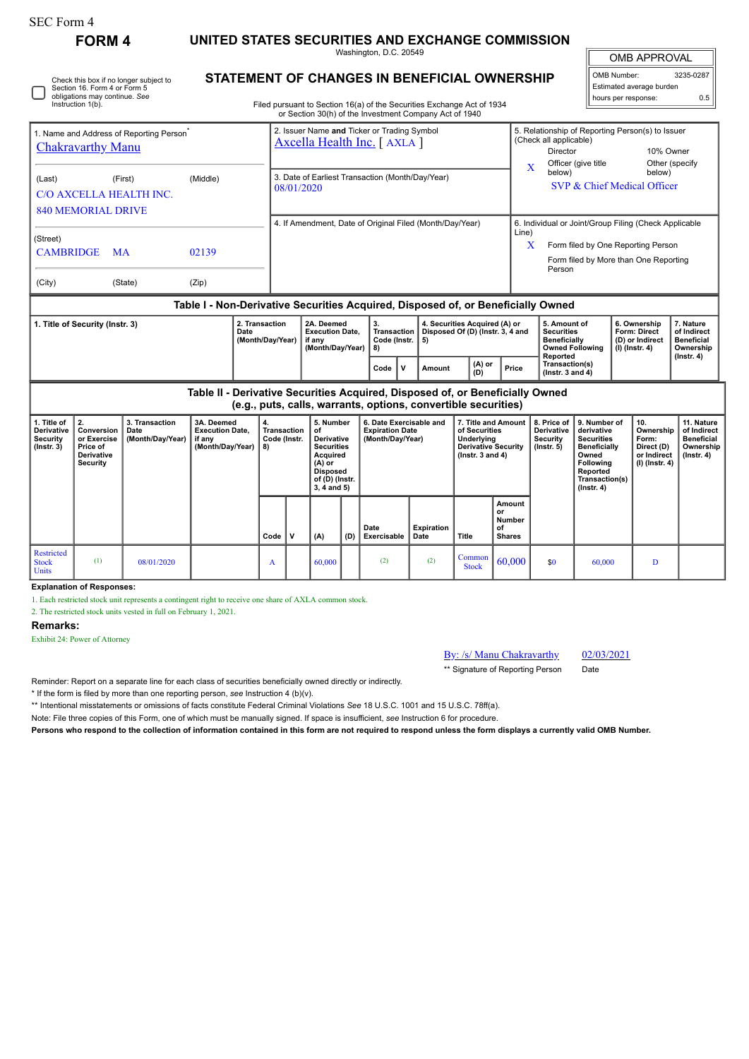| <b>SEC Form 4</b>                                                                                                                                                                                     |                                                                                                                                                 |          |                                                                                |                                                                    |                                                                                                                                                                                  |                                                                                                                                   |                                         |                                                                       |                                                                   |               |                                                                                                            |                                                                                                                                                              |                                                                        |                                                                                                                                                |                                                                                    |                                                                          |                                                                           |  |
|-------------------------------------------------------------------------------------------------------------------------------------------------------------------------------------------------------|-------------------------------------------------------------------------------------------------------------------------------------------------|----------|--------------------------------------------------------------------------------|--------------------------------------------------------------------|----------------------------------------------------------------------------------------------------------------------------------------------------------------------------------|-----------------------------------------------------------------------------------------------------------------------------------|-----------------------------------------|-----------------------------------------------------------------------|-------------------------------------------------------------------|---------------|------------------------------------------------------------------------------------------------------------|--------------------------------------------------------------------------------------------------------------------------------------------------------------|------------------------------------------------------------------------|------------------------------------------------------------------------------------------------------------------------------------------------|------------------------------------------------------------------------------------|--------------------------------------------------------------------------|---------------------------------------------------------------------------|--|
| <b>FORM 4</b>                                                                                                                                                                                         |                                                                                                                                                 |          | UNITED STATES SECURITIES AND EXCHANGE COMMISSION<br>Washington, D.C. 20549     |                                                                    |                                                                                                                                                                                  |                                                                                                                                   |                                         |                                                                       |                                                                   |               |                                                                                                            |                                                                                                                                                              |                                                                        |                                                                                                                                                | <b>OMB APPROVAL</b>                                                                |                                                                          |                                                                           |  |
| Check this box if no longer subject to<br>Section 16. Form 4 or Form 5<br>obligations may continue. See<br>Instruction 1(b).                                                                          |                                                                                                                                                 |          |                                                                                |                                                                    | STATEMENT OF CHANGES IN BENEFICIAL OWNERSHIP<br>Filed pursuant to Section 16(a) of the Securities Exchange Act of 1934<br>or Section 30(h) of the Investment Company Act of 1940 |                                                                                                                                   |                                         |                                                                       |                                                                   |               |                                                                                                            |                                                                                                                                                              |                                                                        |                                                                                                                                                | 3235-0287<br>OMB Number:<br>Estimated average burden<br>hours per response:<br>0.5 |                                                                          |                                                                           |  |
| 1. Name and Address of Reporting Person <sup>7</sup><br><b>Chakravarthy Manu</b>                                                                                                                      |                                                                                                                                                 |          |                                                                                |                                                                    | 2. Issuer Name and Ticker or Trading Symbol<br>Axcella Health Inc. [AXLA ]                                                                                                       |                                                                                                                                   |                                         |                                                                       |                                                                   |               |                                                                                                            |                                                                                                                                                              | (Check all applicable)<br><b>Director</b>                              | Officer (give title                                                                                                                            | 5. Relationship of Reporting Person(s) to Issuer<br>10% Owner<br>Other (specify    |                                                                          |                                                                           |  |
| (Last)                                                                                                                                                                                                | (First)<br>C/O AXCELLA HEALTH INC.<br><b>840 MEMORIAL DRIVE</b>                                                                                 | (Middle) |                                                                                | 3. Date of Earliest Transaction (Month/Day/Year)<br>08/01/2020     |                                                                                                                                                                                  |                                                                                                                                   |                                         |                                                                       |                                                                   |               |                                                                                                            | X<br>below)                                                                                                                                                  |                                                                        | below)<br>SVP & Chief Medical Officer                                                                                                          |                                                                                    |                                                                          |                                                                           |  |
| (Street)<br><b>CAMBRIDGE</b><br><b>MA</b>                                                                                                                                                             |                                                                                                                                                 |          | 02139                                                                          |                                                                    | 4. If Amendment, Date of Original Filed (Month/Day/Year)                                                                                                                         |                                                                                                                                   |                                         |                                                                       |                                                                   |               |                                                                                                            | 6. Individual or Joint/Group Filing (Check Applicable<br>Line)<br>X<br>Form filed by One Reporting Person<br>Form filed by More than One Reporting<br>Person |                                                                        |                                                                                                                                                |                                                                                    |                                                                          |                                                                           |  |
| (State)<br>(Zip)<br>(City)<br>Table I - Non-Derivative Securities Acquired, Disposed of, or Beneficially Owned                                                                                        |                                                                                                                                                 |          |                                                                                |                                                                    |                                                                                                                                                                                  |                                                                                                                                   |                                         |                                                                       |                                                                   |               |                                                                                                            |                                                                                                                                                              |                                                                        |                                                                                                                                                |                                                                                    |                                                                          |                                                                           |  |
| 1. Title of Security (Instr. 3)<br>Date                                                                                                                                                               |                                                                                                                                                 |          | 2. Transaction<br>(Month/Day/Year)                                             | 2A. Deemed<br><b>Execution Date.</b><br>if any<br>(Month/Day/Year) |                                                                                                                                                                                  |                                                                                                                                   | 3.<br>Transaction<br>Code (Instr.<br>8) | 5)                                                                    | 4. Securities Acquired (A) or<br>Disposed Of (D) (Instr. 3, 4 and |               |                                                                                                            | 5. Amount of<br><b>Securities</b><br><b>Beneficially</b><br><b>Owned Following</b><br>Reported                                                               |                                                                        |                                                                                                                                                | 6. Ownership<br>Form: Direct<br>(D) or Indirect<br>$(I)$ (Instr. 4)                | 7. Nature<br>of Indirect<br><b>Beneficial</b><br>Ownership               |                                                                           |  |
|                                                                                                                                                                                                       |                                                                                                                                                 |          |                                                                                |                                                                    |                                                                                                                                                                                  |                                                                                                                                   | $\mathbf v$<br>Code                     | Amount                                                                |                                                                   | (A) or<br>(D) | Price                                                                                                      | Transaction(s)<br>$($ Instr. 3 and 4 $)$                                                                                                                     |                                                                        |                                                                                                                                                |                                                                                    | $($ Instr. 4 $)$                                                         |                                                                           |  |
|                                                                                                                                                                                                       | Table II - Derivative Securities Acquired, Disposed of, or Beneficially Owned<br>(e.g., puts, calls, warrants, options, convertible securities) |          |                                                                                |                                                                    |                                                                                                                                                                                  |                                                                                                                                   |                                         |                                                                       |                                                                   |               |                                                                                                            |                                                                                                                                                              |                                                                        |                                                                                                                                                |                                                                                    |                                                                          |                                                                           |  |
| 1. Title of<br>2.<br>3. Transaction<br><b>Derivative</b><br>Conversion<br>Date<br>Security<br>or Exercise<br>(Month/Day/Year)<br>$($ Instr. 3 $)$<br>Price of<br><b>Derivative</b><br><b>Security</b> |                                                                                                                                                 |          | 3A. Deemed<br>4.<br><b>Execution Date.</b><br>if any<br>(Month/Day/Year)<br>8) |                                                                    | <b>Transaction</b><br>Code (Instr.                                                                                                                                               | 5. Number<br>of<br>Derivative<br><b>Securities</b><br>Acquired<br>$(A)$ or<br><b>Disposed</b><br>of (D) (Instr.<br>$3.4$ and $5)$ |                                         | 6. Date Exercisable and<br><b>Expiration Date</b><br>(Month/Day/Year) |                                                                   |               | 7. Title and Amount<br>of Securities<br>Underlying<br><b>Derivative Security</b><br>$($ Instr. 3 and 4 $)$ |                                                                                                                                                              | 8. Price of<br><b>Derivative</b><br><b>Security</b><br>$($ Instr. $5)$ | 9. Number of<br>derivative<br><b>Securities</b><br><b>Beneficially</b><br>Owned<br>Following<br>Reported<br>Transaction(s)<br>$($ Instr. 4 $)$ |                                                                                    | 10.<br>Ownership<br>Form:<br>Direct (D)<br>or Indirect<br>(I) (Instr. 4) | 11. Nature<br>of Indirect<br><b>Beneficial</b><br>Ownership<br>(Instr. 4) |  |
|                                                                                                                                                                                                       |                                                                                                                                                 |          |                                                                                | Code                                                               | $\mathbf{v}$                                                                                                                                                                     | (A)                                                                                                                               | (D)                                     | Date<br>Exercisable                                                   | <b>Expiration</b><br>Date                                         | <b>Title</b>  |                                                                                                            | Amount<br>or<br><b>Number</b><br>of<br><b>Shares</b>                                                                                                         |                                                                        |                                                                                                                                                |                                                                                    |                                                                          |                                                                           |  |

## **Explanation of Responses:**

1. Each restricted stock unit represents a contingent right to receive one share of AXLA common stock.

2. The restricted stock units vested in full on February 1, 2021.

## **Remarks:**

Restricted Stock Units

Exhibit 24: Power of Attorney

## By: /s/ Manu Chakravarthy 02/03/2021

\*\* Signature of Reporting Person Date

 $\begin{array}{|c|c|c|c|c|c|c|c|} \hline \text{Common} & 60,000 & \text{so} & 60,000 & D \ \hline \end{array}$ 

Reminder: Report on a separate line for each class of securities beneficially owned directly or indirectly.

\* If the form is filed by more than one reporting person, *see* Instruction 4 (b)(v).

\*\* Intentional misstatements or omissions of facts constitute Federal Criminal Violations *See* 18 U.S.C. 1001 and 15 U.S.C. 78ff(a).

(1)  $0.8/0.1/2020$  A 60,000 (2) (2) Common Steel

Note: File three copies of this Form, one of which must be manually signed. If space is insufficient, *see* Instruction 6 for procedure.

**Persons who respond to the collection of information contained in this form are not required to respond unless the form displays a currently valid OMB Number.**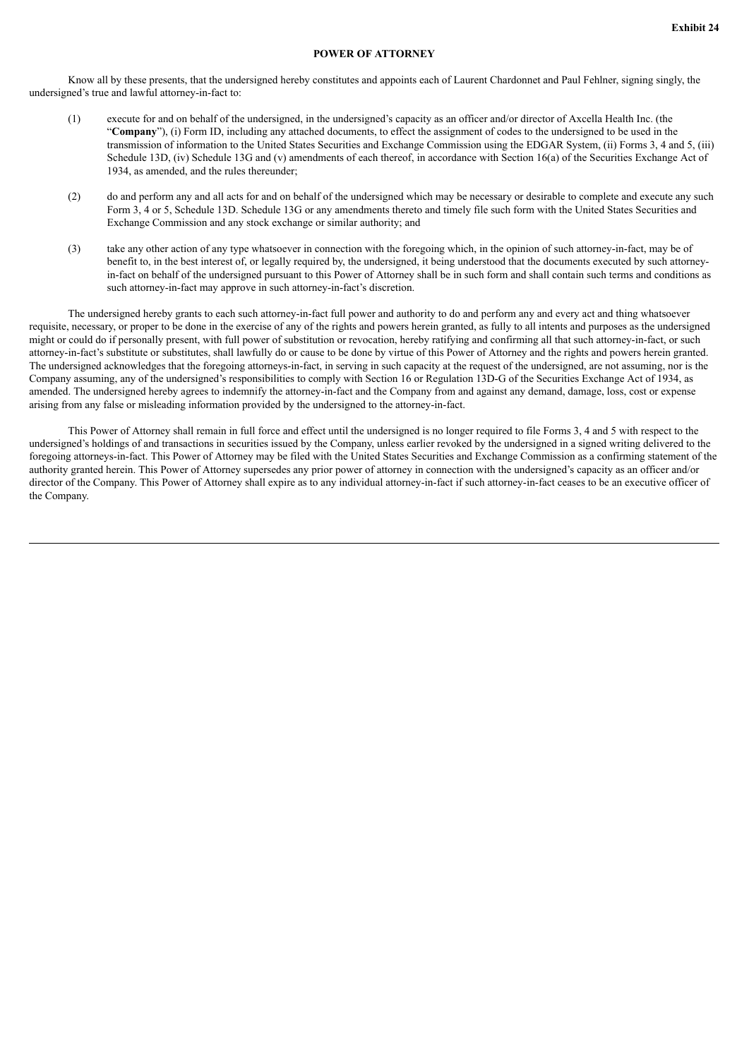## **POWER OF ATTORNEY**

Know all by these presents, that the undersigned hereby constitutes and appoints each of Laurent Chardonnet and Paul Fehlner, signing singly, the undersigned's true and lawful attorney-in-fact to:

- (1) execute for and on behalf of the undersigned, in the undersigned's capacity as an officer and/or director of Axcella Health Inc. (the "**Company**"), (i) Form ID, including any attached documents, to effect the assignment of codes to the undersigned to be used in the transmission of information to the United States Securities and Exchange Commission using the EDGAR System, (ii) Forms 3, 4 and 5, (iii) Schedule 13D, (iv) Schedule 13G and (v) amendments of each thereof, in accordance with Section 16(a) of the Securities Exchange Act of 1934, as amended, and the rules thereunder;
- (2) do and perform any and all acts for and on behalf of the undersigned which may be necessary or desirable to complete and execute any such Form 3, 4 or 5, Schedule 13D. Schedule 13G or any amendments thereto and timely file such form with the United States Securities and Exchange Commission and any stock exchange or similar authority; and
- (3) take any other action of any type whatsoever in connection with the foregoing which, in the opinion of such attorney-in-fact, may be of benefit to, in the best interest of, or legally required by, the undersigned, it being understood that the documents executed by such attorneyin-fact on behalf of the undersigned pursuant to this Power of Attorney shall be in such form and shall contain such terms and conditions as such attorney-in-fact may approve in such attorney-in-fact's discretion.

The undersigned hereby grants to each such attorney-in-fact full power and authority to do and perform any and every act and thing whatsoever requisite, necessary, or proper to be done in the exercise of any of the rights and powers herein granted, as fully to all intents and purposes as the undersigned might or could do if personally present, with full power of substitution or revocation, hereby ratifying and confirming all that such attorney-in-fact, or such attorney-in-fact's substitute or substitutes, shall lawfully do or cause to be done by virtue of this Power of Attorney and the rights and powers herein granted. The undersigned acknowledges that the foregoing attorneys-in-fact, in serving in such capacity at the request of the undersigned, are not assuming, nor is the Company assuming, any of the undersigned's responsibilities to comply with Section 16 or Regulation 13D-G of the Securities Exchange Act of 1934, as amended. The undersigned hereby agrees to indemnify the attorney-in-fact and the Company from and against any demand, damage, loss, cost or expense arising from any false or misleading information provided by the undersigned to the attorney-in-fact.

This Power of Attorney shall remain in full force and effect until the undersigned is no longer required to file Forms 3, 4 and 5 with respect to the undersigned's holdings of and transactions in securities issued by the Company, unless earlier revoked by the undersigned in a signed writing delivered to the foregoing attorneys-in-fact. This Power of Attorney may be filed with the United States Securities and Exchange Commission as a confirming statement of the authority granted herein. This Power of Attorney supersedes any prior power of attorney in connection with the undersigned's capacity as an officer and/or director of the Company. This Power of Attorney shall expire as to any individual attorney-in-fact if such attorney-in-fact ceases to be an executive officer of the Company.